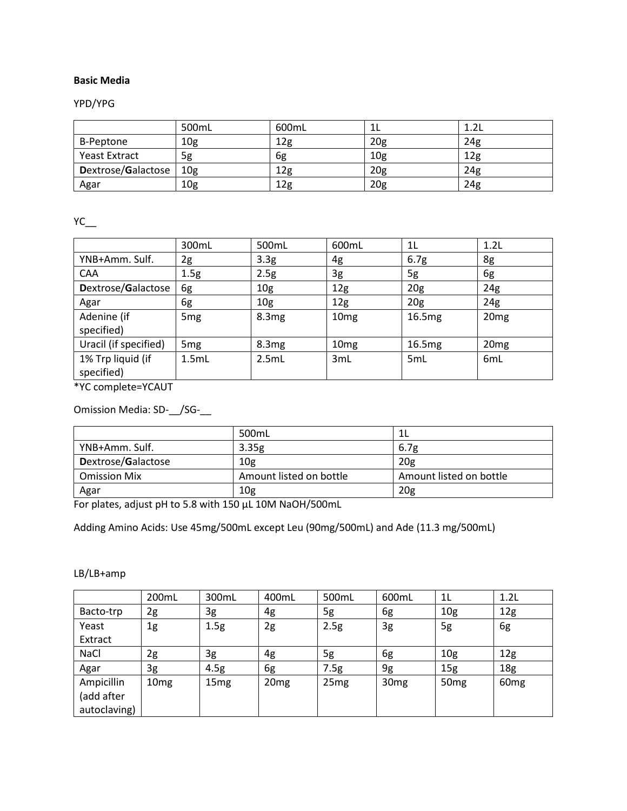# **Basic Media**

# YPD/YPG

|                    | 500mL           | 600mL           | ᅩᄂ              | 1.2L |
|--------------------|-----------------|-----------------|-----------------|------|
| B-Peptone          | 10 <sub>g</sub> | 12 <sub>g</sub> | 20 <sub>g</sub> | 24g  |
| Yeast Extract      | 5g              | 6g              | 10g             | 12g  |
| Dextrose/Galactose | 10 <sub>g</sub> | 12g             | 20 <sub>g</sub> | 24g  |
| Agar               | 10 <sub>g</sub> | 12g             | 20 <sub>g</sub> | 24g  |

 $YC_{\_\_}$ 

|                                 | 300mL           | 500mL            | 600mL            | 1L               | 1.2L             |
|---------------------------------|-----------------|------------------|------------------|------------------|------------------|
| YNB+Amm. Sulf.                  | 2g              | 3.3 <sub>g</sub> | 4g               | 6.7 <sub>g</sub> | 8g               |
| <b>CAA</b>                      | 1.5g            | 2.5g             | 3g               | 5g               | 6g               |
| Dextrose/Galactose              | 6g              | 10 <sub>g</sub>  | 12 <sub>g</sub>  | 20 <sub>g</sub>  | 24g              |
| Agar                            | 6g              | 10 <sub>g</sub>  | 12 <sub>g</sub>  | 20 <sub>g</sub>  | 24g              |
| Adenine (if<br>specified)       | 5 <sub>mg</sub> | 8.3mg            | 10 <sub>mg</sub> | 16.5mg           | 20 <sub>mg</sub> |
| Uracil (if specified)           | 5 <sub>mg</sub> | 8.3mg            | 10 <sub>mg</sub> | 16.5mg           | 20 <sub>mg</sub> |
| 1% Trp liquid (if<br>specified) | 1.5mL           | 2.5mL            | 3mL              | 5 <sub>mL</sub>  | 6 <sub>m</sub> L |

\*YC complete=YCAUT

Omission Media: SD-\_\_/SG-\_\_

|                     | 500mL                   |                         |
|---------------------|-------------------------|-------------------------|
| YNB+Amm. Sulf.      | 3.35g                   | 6.7g                    |
| Dextrose/Galactose  | 10 <sub>g</sub>         | 20 <sub>g</sub>         |
| <b>Omission Mix</b> | Amount listed on bottle | Amount listed on bottle |
| Agar                | 10 <sub>g</sub>         | 20 <sub>g</sub>         |

For plates, adjust pH to 5.8 with 150 µL 10M NaOH/500mL

Adding Amino Acids: Use 45mg/500mL except Leu (90mg/500mL) and Ade (11.3 mg/500mL)

### LB/LB+amp

|              | 200mL            | 300mL            | 400mL            | 500mL            | 600mL            | 1 <sub>L</sub>   | 1.2L             |
|--------------|------------------|------------------|------------------|------------------|------------------|------------------|------------------|
| Bacto-trp    | 2g               | 3g               | 4g               | 5g               | 6g               | 10 <sub>g</sub>  | 12 <sub>g</sub>  |
| Yeast        | 1g               | 1.5g             | 2g               | 2.5g             | 3g               | 5g               | 6g               |
| Extract      |                  |                  |                  |                  |                  |                  |                  |
| NaCl         | 2g               | 3g               | 4g               | 5g               | 6g               | 10 <sub>g</sub>  | 12 <sub>g</sub>  |
| Agar         | 3g               | 4.5g             | 6g               | 7.5g             | 9g               | 15 <sub>g</sub>  | 18 <sub>g</sub>  |
| Ampicillin   | 10 <sub>mg</sub> | 15 <sub>mg</sub> | 20 <sub>mg</sub> | 25 <sub>mg</sub> | 30 <sub>mg</sub> | 50 <sub>mg</sub> | 60 <sub>mg</sub> |
| (add after   |                  |                  |                  |                  |                  |                  |                  |
| autoclaving) |                  |                  |                  |                  |                  |                  |                  |